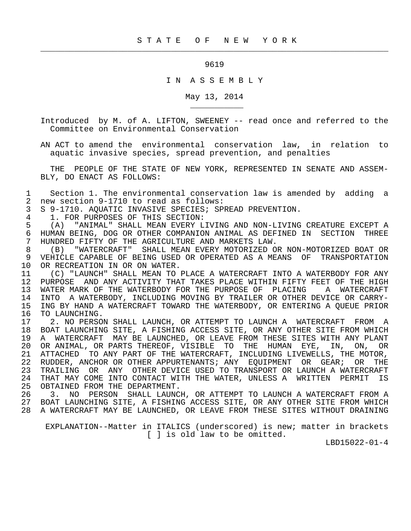## 9619

 $\frac{1}{2}$  , and the contribution of the contribution of the contribution of the contribution of the contribution of the contribution of the contribution of the contribution of the contribution of the contribution of the c

## I N A S S E M B L Y

## May 13, 2014

 Introduced by M. of A. LIFTON, SWEENEY -- read once and referred to the Committee on Environmental Conservation

 AN ACT to amend the environmental conservation law, in relation to aquatic invasive species, spread prevention, and penalties

 THE PEOPLE OF THE STATE OF NEW YORK, REPRESENTED IN SENATE AND ASSEM- BLY, DO ENACT AS FOLLOWS:

1 Section 1. The environmental conservation law is amended by adding a<br>2 new section 9-1710 to read as follows: 2 new section 9-1710 to read as follows:<br>3 S 9-1710. AOUATIC INVASIVE SPECIES; SP

3 S 9-1710. AQUATIC INVASIVE SPECIES; SPREAD PREVENTION.<br>4 1. FOR PURPOSES OF THIS SECTION:

4 1. FOR PURPOSES OF THIS SECTION:<br>5 (A) "ANIMAL" SHALL MEAN EVERY L

\_\_\_\_\_\_\_\_\_\_\_

 5 (A) "ANIMAL" SHALL MEAN EVERY LIVING AND NON-LIVING CREATURE EXCEPT A 6 HUMAN BEING, DOG OR OTHER COMPANION ANIMAL AS DEFINED IN SECTION THREE 6 THERE THE AGRICULTURE AND MARKETS LAW 7 HUNDRED FIFTY OF THE AGRICULTURE AND MARKETS LAW.<br>8 (B) "WATERCRAFT" SHALL MEAN EVERY MOTORIZED O

 8 (B) "WATERCRAFT" SHALL MEAN EVERY MOTORIZED OR NON-MOTORIZED BOAT OR 9 VEHICLE CAPABLE OF BEING USED OR OPERATED AS A MEANS OF TRANSPORTATION 10 OR RECREATION IN OR ON WATER. 10 OR RECREATION IN OR ON WATER.<br>11 (C) "LAUNCH" SHALL MEAN TO

11 (C) "LAUNCH" SHALL MEAN TO PLACE A WATERCRAFT INTO A WATERBODY FOR ANY<br>12 PURPOSE AND ANY ACTIVITY THAT TAKES PLACE WITHIN FIFTY FEET OF THE HIGH 12 PURPOSE AND ANY ACTIVITY THAT TAKES PLACE WITHIN FIFTY FEET OF THE HIGH 13 WATER MARK OF THE WATERBODY FOR THE PURPOSE OF PLACING A WATERCRAFT<br>14 INTO A WATERBODY, INCLUDING MOVING BY TRAILER OR OTHER DEVICE OR CARRY-14 INTO A WATERBODY, INCLUDING MOVING BY TRAILER OR OTHER DEVICE OR CARRY-<br>15 ING BY HAND A WATERCRAFT TOWARD THE WATERBODY, OR ENTERING A OUEUE PRIOR 15 ING BY HAND A WATERCRAFT TOWARD THE WATERBODY, OR ENTERING A QUEUE PRIOR<br>16 TO LAUNCHING. 16 TO LAUNCHING.<br>17 2. NO PERSO

2. NO PERSON SHALL LAUNCH, OR ATTEMPT TO LAUNCH A WATERCRAFT FROM A 18 BOAT LAUNCHING SITE, A FISHING ACCESS SITE, OR ANY OTHER SITE FROM WHICH 19 A WATERCRAFT MAY BE LAUNCHED, OR LEAVE FROM THESE SITES WITH ANY PLANT<br>20 OR ANIMAL, OR PARTS THEREOF, VISIBLE TO THE HUMAN EYE, IN, ON, OR 20 OR ANIMAL, OR PARTS THEREOF, VISIBLE TO THE HUMAN EYE, IN, ON, OR<br>21 ATTACHED TO ANY PART OF THE WATERCRAFT, INCLUDING LIVEWELLS, THE MOTOR, 21 ATTACHED TO ANY PART OF THE WATERCRAFT, INCLUDING LIVEWELLS, THE MOTOR,<br>22 RUDDER, ANCHOR OR OTHER APPURTENANTS; ANY EOUIPMENT OR GEAR; OR THE 22 RUDDER, ANCHOR OR OTHER APPURTENANTS; ANY EQUIPMENT OR GEAR; OR THE<br>23 TRAILING OR ANY OTHER DEVICE USED TO TRANSPORT OR LAUNCH A WATERCRAFT 23 TRAILING OR ANY OTHER DEVICE USED TO TRANSPORT OR LAUNCH A WATERCRAFT<br>24 THAT MAY COME INTO CONTACT WITH THE WATER, UNLESS A WRITTEN PERMIT IS 24 THAT MAY COME INTO CONTACT WITH THE WATER, UNLESS A WRITTEN PERMIT IS<br>25 OBTAINED FROM THE DEPARTMENT. OBTAINED FROM THE DEPARTMENT.

 26 3. NO PERSON SHALL LAUNCH, OR ATTEMPT TO LAUNCH A WATERCRAFT FROM A 27 BOAT LAUNCHING SITE, A FISHING ACCESS SITE, OR ANY OTHER SITE FROM WHICH 28 A WATERCRAFT MAY BE LAUNCHED, OR LEAVE FROM THESE SITES WITHOUT DRAINING

 EXPLANATION--Matter in ITALICS (underscored) is new; matter in brackets [ ] is old law to be omitted.

LBD15022-01-4